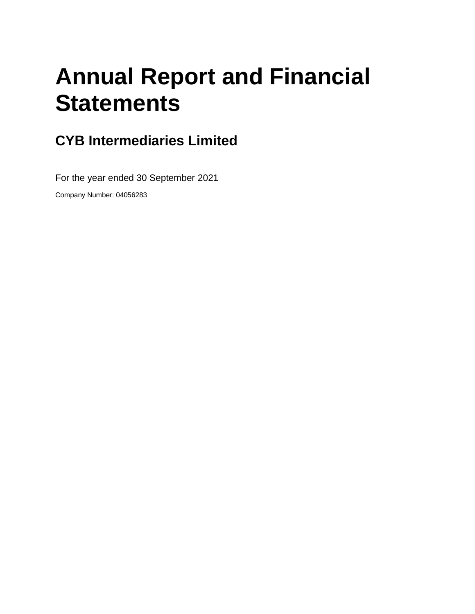# **Annual Report and Financial Statements**

# **CYB Intermediaries Limited**

For the year ended 30 September 2021

Company Number: 04056283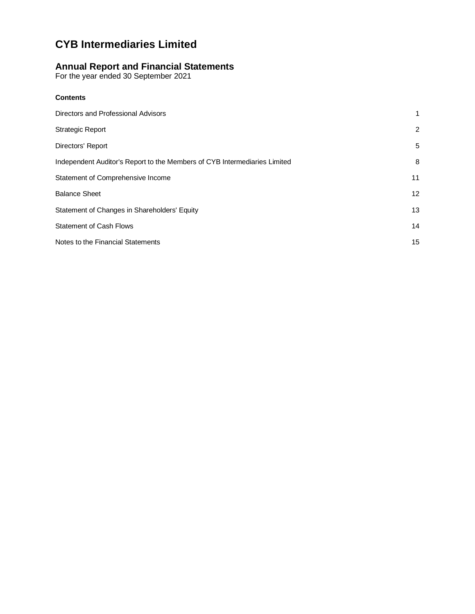### **Annual Report and Financial Statements**

For the year ended 30 September 2021

#### **Contents**

| Directors and Professional Advisors                                       | 1  |
|---------------------------------------------------------------------------|----|
| <b>Strategic Report</b>                                                   | 2  |
| Directors' Report                                                         | 5  |
| Independent Auditor's Report to the Members of CYB Intermediaries Limited | 8  |
| Statement of Comprehensive Income                                         | 11 |
| <b>Balance Sheet</b>                                                      | 12 |
| Statement of Changes in Shareholders' Equity                              | 13 |
| <b>Statement of Cash Flows</b>                                            | 14 |
| Notes to the Financial Statements                                         | 15 |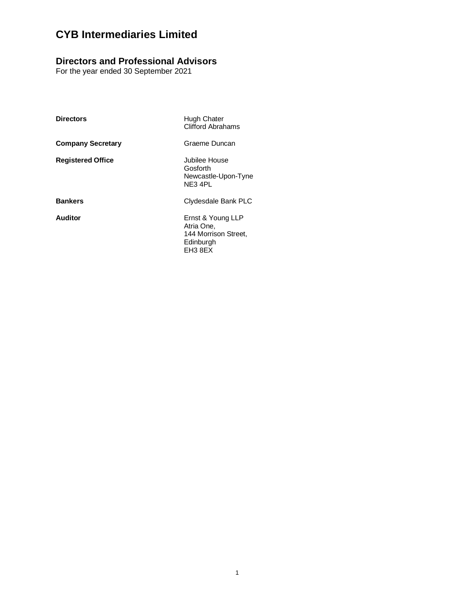### **Directors and Professional Advisors**

For the year ended 30 September 2021

| Directors                | Hugh Chater<br><b>Clifford Abrahams</b>                                         |
|--------------------------|---------------------------------------------------------------------------------|
| Company Secretary        | Graeme Duncan                                                                   |
| <b>Registered Office</b> | Jubilee House<br>Gosforth<br>Newcastle-Upon-Tyne<br>NE3 4PL                     |
| <b>Bankers</b>           | Clydesdale Bank PLC                                                             |
| Auditor                  | Ernst & Young LLP<br>Atria One,<br>144 Morrison Street,<br>Edinburgh<br>EH3 8EX |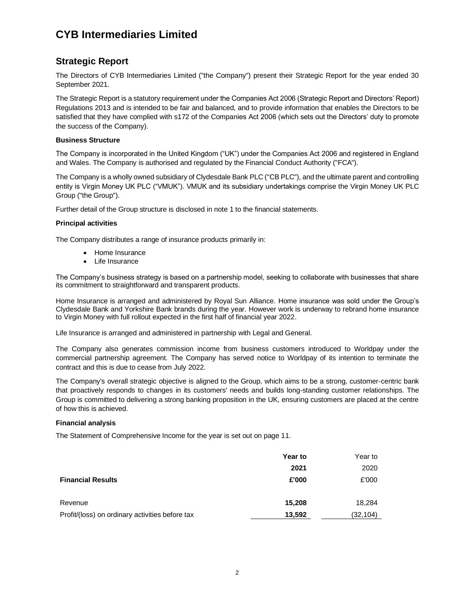### **Strategic Report**

The Directors of CYB Intermediaries Limited ("the Company") present their Strategic Report for the year ended 30 September 2021.

The Strategic Report is a statutory requirement under the Companies Act 2006 (Strategic Report and Directors' Report) Regulations 2013 and is intended to be fair and balanced, and to provide information that enables the Directors to be satisfied that they have complied with s172 of the Companies Act 2006 (which sets out the Directors' duty to promote the success of the Company).

#### **Business Structure**

The Company is incorporated in the United Kingdom ("UK") under the Companies Act 2006 and registered in England and Wales. The Company is authorised and regulated by the Financial Conduct Authority ("FCA").

The Company is a wholly owned subsidiary of Clydesdale Bank PLC ("CB PLC"), and the ultimate parent and controlling entity is Virgin Money UK PLC ("VMUK"). VMUK and its subsidiary undertakings comprise the Virgin Money UK PLC Group ("the Group").

Further detail of the Group structure is disclosed in note 1 to the financial statements.

#### **Principal activities**

The Company distributes a range of insurance products primarily in:

- Home Insurance
- Life Insurance

The Company's business strategy is based on a partnership model, seeking to collaborate with businesses that share its commitment to straightforward and transparent products.

Home Insurance is arranged and administered by Royal Sun Alliance. Home insurance was sold under the Group's Clydesdale Bank and Yorkshire Bank brands during the year. However work is underway to rebrand home insurance to Virgin Money with full rollout expected in the first half of financial year 2022.

Life Insurance is arranged and administered in partnership with Legal and General.

The Company also generates commission income from business customers introduced to Worldpay under the commercial partnership agreement. The Company has served notice to Worldpay of its intention to terminate the contract and this is due to cease from July 2022.

The Company's overall strategic objective is aligned to the Group, which aims to be a strong, customer-centric bank that proactively responds to changes in its customers' needs and builds long-standing customer relationships. The Group is committed to delivering a strong banking proposition in the UK, ensuring customers are placed at the centre of how this is achieved.

#### **Financial analysis**

The Statement of Comprehensive Income for the year is set out on page 11.

|                                                 | Year to | Year to   |
|-------------------------------------------------|---------|-----------|
|                                                 | 2021    | 2020      |
| <b>Financial Results</b>                        | £'000   | £'000     |
|                                                 |         |           |
| Revenue                                         | 15,208  | 18,284    |
| Profit/(loss) on ordinary activities before tax | 13,592  | (32, 104) |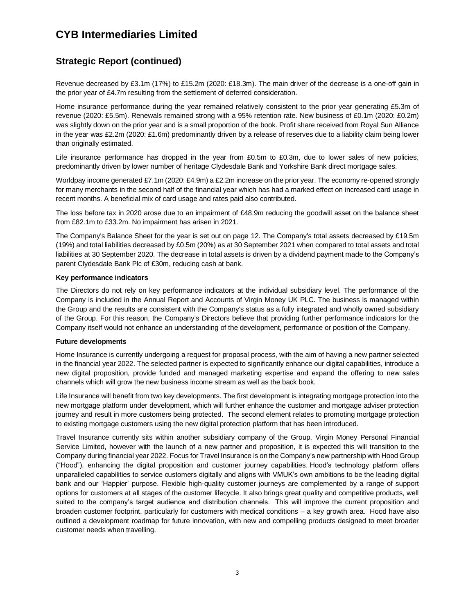### **Strategic Report (continued)**

Revenue decreased by £3.1m (17%) to £15.2m (2020: £18.3m). The main driver of the decrease is a one-off gain in the prior year of £4.7m resulting from the settlement of deferred consideration.

Home insurance performance during the year remained relatively consistent to the prior year generating £5.3m of revenue (2020: £5.5m). Renewals remained strong with a 95% retention rate. New business of £0.1m (2020: £0.2m) was slightly down on the prior year and is a small proportion of the book. Profit share received from Royal Sun Alliance in the year was £2.2m (2020: £1.6m) predominantly driven by a release of reserves due to a liability claim being lower than originally estimated.

Life insurance performance has dropped in the year from £0.5m to £0.3m, due to lower sales of new policies, predominantly driven by lower number of heritage Clydesdale Bank and Yorkshire Bank direct mortgage sales.

Worldpay income generated £7.1m (2020: £4.9m) a £2.2m increase on the prior year. The economy re-opened strongly for many merchants in the second half of the financial year which has had a marked effect on increased card usage in recent months. A beneficial mix of card usage and rates paid also contributed.

The loss before tax in 2020 arose due to an impairment of £48.9m reducing the goodwill asset on the balance sheet from £82.1m to £33.2m. No impairment has arisen in 2021.

The Company's Balance Sheet for the year is set out on page 12. The Company's total assets decreased by £19.5m (19%) and total liabilities decreased by £0.5m (20%) as at 30 September 2021 when compared to total assets and total liabilities at 30 September 2020. The decrease in total assets is driven by a dividend payment made to the Company's parent Clydesdale Bank Plc of £30m, reducing cash at bank.

#### **Key performance indicators**

The Directors do not rely on key performance indicators at the individual subsidiary level. The performance of the Company is included in the Annual Report and Accounts of Virgin Money UK PLC. The business is managed within the Group and the results are consistent with the Company's status as a fully integrated and wholly owned subsidiary of the Group. For this reason, the Company's Directors believe that providing further performance indicators for the Company itself would not enhance an understanding of the development, performance or position of the Company.

#### **Future developments**

Home Insurance is currently undergoing a request for proposal process, with the aim of having a new partner selected in the financial year 2022. The selected partner is expected to significantly enhance our digital capabilities, introduce a new digital proposition, provide funded and managed marketing expertise and expand the offering to new sales channels which will grow the new business income stream as well as the back book.

Life Insurance will benefit from two key developments. The first development is integrating mortgage protection into the new mortgage platform under development, which will further enhance the customer and mortgage adviser protection journey and result in more customers being protected. The second element relates to promoting mortgage protection to existing mortgage customers using the new digital protection platform that has been introduced.

Travel Insurance currently sits within another subsidiary company of the Group, Virgin Money Personal Financial Service Limited, however with the launch of a new partner and proposition, it is expected this will transition to the Company during financial year 2022. Focus for Travel Insurance is on the Company's new partnership with Hood Group ("Hood"), enhancing the digital proposition and customer journey capabilities. Hood's technology platform offers unparalleled capabilities to service customers digitally and aligns with VMUK's own ambitions to be the leading digital bank and our 'Happier' purpose. Flexible high-quality customer journeys are complemented by a range of support options for customers at all stages of the customer lifecycle. It also brings great quality and competitive products, well suited to the company's target audience and distribution channels. This will improve the current proposition and broaden customer footprint, particularly for customers with medical conditions – a key growth area. Hood have also outlined a development roadmap for future innovation, with new and compelling products designed to meet broader customer needs when travelling.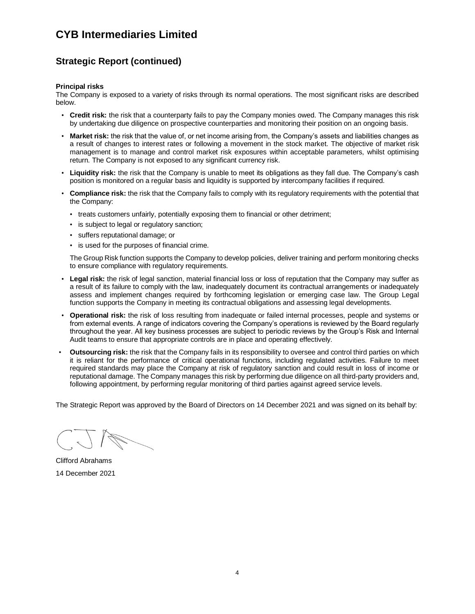### **Strategic Report (continued)**

#### **Principal risks**

The Company is exposed to a variety of risks through its normal operations. The most significant risks are described below.

- **Credit risk:** the risk that a counterparty fails to pay the Company monies owed. The Company manages this risk by undertaking due diligence on prospective counterparties and monitoring their position on an ongoing basis.
- **Market risk:** the risk that the value of, or net income arising from, the Company's assets and liabilities changes as a result of changes to interest rates or following a movement in the stock market. The objective of market risk management is to manage and control market risk exposures within acceptable parameters, whilst optimising return. The Company is not exposed to any significant currency risk.
- **Liquidity risk:** the risk that the Company is unable to meet its obligations as they fall due. The Company's cash position is monitored on a regular basis and liquidity is supported by intercompany facilities if required.
- **Compliance risk:** the risk that the Company fails to comply with its regulatory requirements with the potential that the Company:
	- treats customers unfairly, potentially exposing them to financial or other detriment;
	- is subject to legal or regulatory sanction;
	- suffers reputational damage; or
	- is used for the purposes of financial crime.

The Group Risk function supports the Company to develop policies, deliver training and perform monitoring checks to ensure compliance with regulatory requirements.

- **Legal risk:** the risk of legal sanction, material financial loss or loss of reputation that the Company may suffer as a result of its failure to comply with the law, inadequately document its contractual arrangements or inadequately assess and implement changes required by forthcoming legislation or emerging case law. The Group Legal function supports the Company in meeting its contractual obligations and assessing legal developments.
- **Operational risk:** the risk of loss resulting from inadequate or failed internal processes, people and systems or from external events. A range of indicators covering the Company's operations is reviewed by the Board regularly throughout the year. All key business processes are subject to periodic reviews by the Group's Risk and Internal Audit teams to ensure that appropriate controls are in place and operating effectively.
- **Outsourcing risk:** the risk that the Company fails in its responsibility to oversee and control third parties on which it is reliant for the performance of critical operational functions, including regulated activities. Failure to meet required standards may place the Company at risk of regulatory sanction and could result in loss of income or reputational damage. The Company manages this risk by performing due diligence on all third-party providers and, following appointment, by performing regular monitoring of third parties against agreed service levels.

The Strategic Report was approved by the Board of Directors on 14 December 2021 and was signed on its behalf by:

Clifford Abrahams 14 December 2021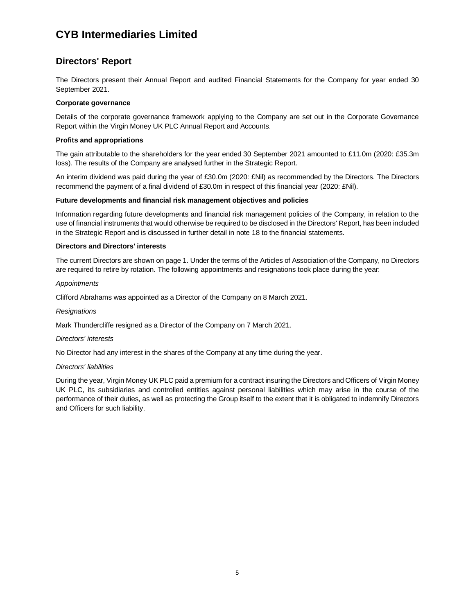### **Directors' Report**

The Directors present their Annual Report and audited Financial Statements for the Company for year ended 30 September 2021.

#### **Corporate governance**

Details of the corporate governance framework applying to the Company are set out in the Corporate Governance Report within the Virgin Money UK PLC Annual Report and Accounts.

#### **Profits and appropriations**

The gain attributable to the shareholders for the year ended 30 September 2021 amounted to £11.0m (2020: £35.3m loss). The results of the Company are analysed further in the Strategic Report.

An interim dividend was paid during the year of £30.0m (2020: £Nil) as recommended by the Directors. The Directors recommend the payment of a final dividend of £30.0m in respect of this financial year (2020: £Nil).

#### **Future developments and financial risk management objectives and policies**

Information regarding future developments and financial risk management policies of the Company, in relation to the use of financial instruments that would otherwise be required to be disclosed in the Directors' Report, has been included in the Strategic Report and is discussed in further detail in note 18 to the financial statements.

#### **Directors and Directors' interests**

The current Directors are shown on page 1. Under the terms of the Articles of Association of the Company, no Directors are required to retire by rotation. The following appointments and resignations took place during the year:

#### *Appointments*

Clifford Abrahams was appointed as a Director of the Company on 8 March 2021.

#### *Resignations*

Mark Thundercliffe resigned as a Director of the Company on 7 March 2021.

#### *Directors' interests*

No Director had any interest in the shares of the Company at any time during the year.

#### *Directors' liabilities*

During the year, Virgin Money UK PLC paid a premium for a contract insuring the Directors and Officers of Virgin Money UK PLC, its subsidiaries and controlled entities against personal liabilities which may arise in the course of the performance of their duties, as well as protecting the Group itself to the extent that it is obligated to indemnify Directors and Officers for such liability.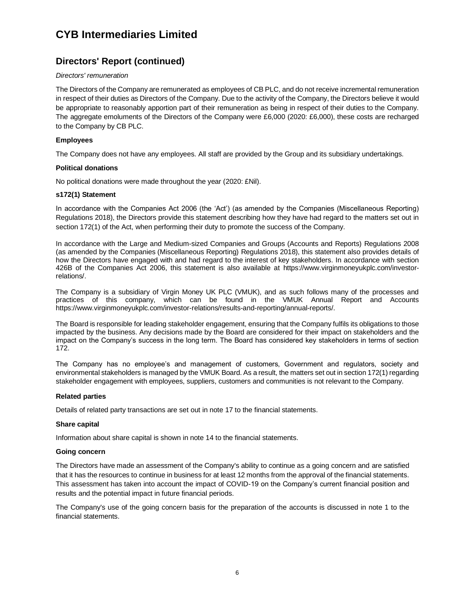### **Directors' Report (continued)**

#### *Directors' remuneration*

The Directors of the Company are remunerated as employees of CB PLC, and do not receive incremental remuneration in respect of their duties as Directors of the Company. Due to the activity of the Company, the Directors believe it would be appropriate to reasonably apportion part of their remuneration as being in respect of their duties to the Company. The aggregate emoluments of the Directors of the Company were £6,000 (2020: £6,000), these costs are recharged to the Company by CB PLC.

#### **Employees**

The Company does not have any employees. All staff are provided by the Group and its subsidiary undertakings.

#### **Political donations**

No political donations were made throughout the year (2020: £Nil).

#### **s172(1) Statement**

In accordance with the Companies Act 2006 (the 'Act') (as amended by the Companies (Miscellaneous Reporting) Regulations 2018), the Directors provide this statement describing how they have had regard to the matters set out in section 172(1) of the Act, when performing their duty to promote the success of the Company.

In accordance with the Large and Medium-sized Companies and Groups (Accounts and Reports) Regulations 2008 (as amended by the Companies (Miscellaneous Reporting) Regulations 2018), this statement also provides details of how the Directors have engaged with and had regard to the interest of key stakeholders. In accordance with section 426B of the Companies Act 2006, this statement is also available at [https://www.virginmoneyukplc.com/investor](https://clicktime.symantec.com/3P5CjwQQEAK5xVY9BmFYq686H2?u=https%3A%2F%2Fwww.virginmoneyukplc.com%2Finvestor-relations%2F)[relations/.](https://clicktime.symantec.com/3P5CjwQQEAK5xVY9BmFYq686H2?u=https%3A%2F%2Fwww.virginmoneyukplc.com%2Finvestor-relations%2F)

The Company is a subsidiary of Virgin Money UK PLC (VMUK), and as such follows many of the processes and practices of this company, which can be found in the VMUK Annual Report and Accounts https://www.virginmoneyukplc.com/investor-relations/results-and-reporting/annual-reports/.

The Board is responsible for leading stakeholder engagement, ensuring that the Company fulfils its obligations to those impacted by the business. Any decisions made by the Board are considered for their impact on stakeholders and the impact on the Company's success in the long term. The Board has considered key stakeholders in terms of section 172.

The Company has no employee's and management of customers, Government and regulators, society and environmental stakeholders is managed by the VMUK Board. As a result, the matters set out in section 172(1) regarding stakeholder engagement with employees, suppliers, customers and communities is not relevant to the Company.

#### **Related parties**

Details of related party transactions are set out in note 17 to the financial statements.

#### **Share capital**

Information about share capital is shown in note 14 to the financial statements.

#### **Going concern**

The Directors have made an assessment of the Company's ability to continue as a going concern and are satisfied that it has the resources to continue in business for at least 12 months from the approval of the financial statements. This assessment has taken into account the impact of COVID-19 on the Company's current financial position and results and the potential impact in future financial periods.

The Company's use of the going concern basis for the preparation of the accounts is discussed in note 1 to the financial statements.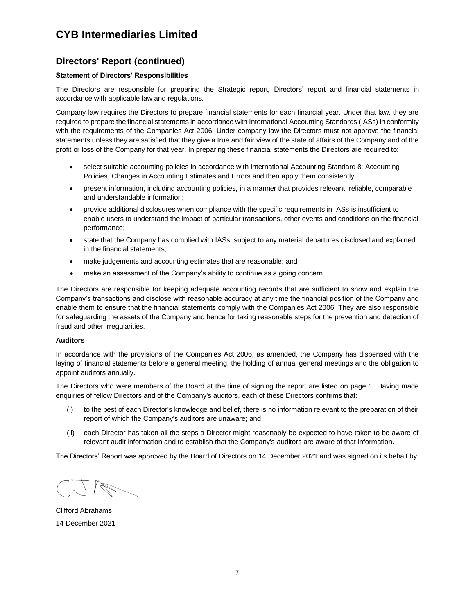### **Directors' Report (continued)**

#### **Statement of Directors' Responsibilities**

The Directors are responsible for preparing the Strategic report, Directors' report and financial statements in accordance with applicable law and regulations.

Company law requires the Directors to prepare financial statements for each financial year. Under that law, they are required to prepare the financial statements in accordance with International Accounting Standards (IASs) in conformity with the requirements of the Companies Act 2006. Under company law the Directors must not approve the financial statements unless they are satisfied that they give a true and fair view of the state of affairs of the Company and of the profit or loss of the Company for that year. In preparing these financial statements the Directors are required to:

- select suitable accounting policies in accordance with International Accounting Standard 8: Accounting Policies, Changes in Accounting Estimates and Errors and then apply them consistently;
- present information, including accounting policies, in a manner that provides relevant, reliable, comparable and understandable information;
- provide additional disclosures when compliance with the specific requirements in IASs is insufficient to enable users to understand the impact of particular transactions, other events and conditions on the financial performance;
- state that the Company has complied with IASs, subject to any material departures disclosed and explained in the financial statements;
- make judgements and accounting estimates that are reasonable; and
- make an assessment of the Company's ability to continue as a going concern.

The Directors are responsible for keeping adequate accounting records that are sufficient to show and explain the Company's transactions and disclose with reasonable accuracy at any time the financial position of the Company and enable them to ensure that the financial statements comply with the Companies Act 2006. They are also responsible for safeguarding the assets of the Company and hence for taking reasonable steps for the prevention and detection of fraud and other irregularities.

#### **Auditors**

In accordance with the provisions of the Companies Act 2006, as amended, the Company has dispensed with the laying of financial statements before a general meeting, the holding of annual general meetings and the obligation to appoint auditors annually.

The Directors who were members of the Board at the time of signing the report are listed on page 1. Having made enquiries of fellow Directors and of the Company's auditors, each of these Directors confirms that:

- (i) to the best of each Director's knowledge and belief, there is no information relevant to the preparation of their report of which the Company's auditors are unaware; and
- (ii) each Director has taken all the steps a Director might reasonably be expected to have taken to be aware of relevant audit information and to establish that the Company's auditors are aware of that information.

The Directors' Report was approved by the Board of Directors on 14 December 2021 and was signed on its behalf by:

Clifford Abrahams 14 December 2021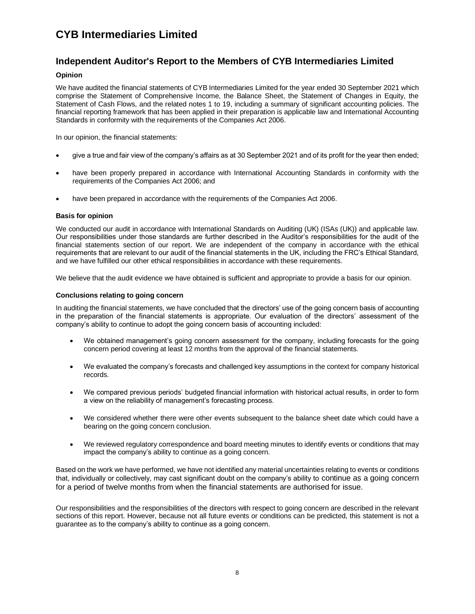### **Independent Auditor's Report to the Members of CYB Intermediaries Limited**

#### **Opinion**

We have audited the financial statements of CYB Intermediaries Limited for the year ended 30 September 2021 which comprise the Statement of Comprehensive Income, the Balance Sheet, the Statement of Changes in Equity, the Statement of Cash Flows, and the related notes 1 to 19, including a summary of significant accounting policies. The financial reporting framework that has been applied in their preparation is applicable law and International Accounting Standards in conformity with the requirements of the Companies Act 2006.

In our opinion, the financial statements:

- give a true and fair view of the company's affairs as at 30 September 2021 and of its profit for the year then ended;
- have been properly prepared in accordance with International Accounting Standards in conformity with the requirements of the Companies Act 2006; and
- have been prepared in accordance with the requirements of the Companies Act 2006.

#### **Basis for opinion**

We conducted our audit in accordance with International Standards on Auditing (UK) (ISAs (UK)) and applicable law. Our responsibilities under those standards are further described in the Auditor's responsibilities for the audit of the financial statements section of our report. We are independent of the company in accordance with the ethical requirements that are relevant to our audit of the financial statements in the UK, including the FRC's Ethical Standard, and we have fulfilled our other ethical responsibilities in accordance with these requirements.

We believe that the audit evidence we have obtained is sufficient and appropriate to provide a basis for our opinion.

#### **Conclusions relating to going concern**

In auditing the financial statements, we have concluded that the directors' use of the going concern basis of accounting in the preparation of the financial statements is appropriate. Our evaluation of the directors' assessment of the company's ability to continue to adopt the going concern basis of accounting included:

- We obtained management's going concern assessment for the company, including forecasts for the going concern period covering at least 12 months from the approval of the financial statements.
- We evaluated the company's forecasts and challenged key assumptions in the context for company historical records.
- We compared previous periods' budgeted financial information with historical actual results, in order to form a view on the reliability of management's forecasting process.
- We considered whether there were other events subsequent to the balance sheet date which could have a bearing on the going concern conclusion.
- We reviewed regulatory correspondence and board meeting minutes to identify events or conditions that may impact the company's ability to continue as a going concern.

Based on the work we have performed, we have not identified any material uncertainties relating to events or conditions that, individually or collectively, may cast significant doubt on the company's ability to continue as a going concern for a period of twelve months from when the financial statements are authorised for issue.

Our responsibilities and the responsibilities of the directors with respect to going concern are described in the relevant sections of this report. However, because not all future events or conditions can be predicted, this statement is not a guarantee as to the company's ability to continue as a going concern.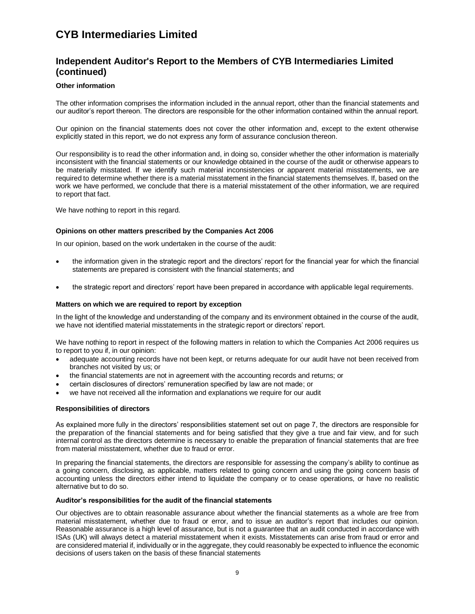### **Independent Auditor's Report to the Members of CYB Intermediaries Limited (continued)**

#### **Other information**

The other information comprises the information included in the annual report, other than the financial statements and our auditor's report thereon. The directors are responsible for the other information contained within the annual report.

Our opinion on the financial statements does not cover the other information and, except to the extent otherwise explicitly stated in this report, we do not express any form of assurance conclusion thereon.

Our responsibility is to read the other information and, in doing so, consider whether the other information is materially inconsistent with the financial statements or our knowledge obtained in the course of the audit or otherwise appears to be materially misstated. If we identify such material inconsistencies or apparent material misstatements, we are required to determine whether there is a material misstatement in the financial statements themselves. If, based on the work we have performed, we conclude that there is a material misstatement of the other information, we are required to report that fact.

We have nothing to report in this regard.

#### **Opinions on other matters prescribed by the Companies Act 2006**

In our opinion, based on the work undertaken in the course of the audit:

- the information given in the strategic report and the directors' report for the financial year for which the financial statements are prepared is consistent with the financial statements; and
- the strategic report and directors' report have been prepared in accordance with applicable legal requirements.

#### **Matters on which we are required to report by exception**

In the light of the knowledge and understanding of the company and its environment obtained in the course of the audit, we have not identified material misstatements in the strategic report or directors' report.

We have nothing to report in respect of the following matters in relation to which the Companies Act 2006 requires us to report to you if, in our opinion:

- adequate accounting records have not been kept, or returns adequate for our audit have not been received from branches not visited by us; or
- the financial statements are not in agreement with the accounting records and returns; or
- certain disclosures of directors' remuneration specified by law are not made; or
- we have not received all the information and explanations we require for our audit

#### **Responsibilities of directors**

As explained more fully in the directors' responsibilities statement set out on page 7, the directors are responsible for the preparation of the financial statements and for being satisfied that they give a true and fair view, and for such internal control as the directors determine is necessary to enable the preparation of financial statements that are free from material misstatement, whether due to fraud or error.

In preparing the financial statements, the directors are responsible for assessing the company's ability to continue as a going concern, disclosing, as applicable, matters related to going concern and using the going concern basis of accounting unless the directors either intend to liquidate the company or to cease operations, or have no realistic alternative but to do so.

#### **Auditor's responsibilities for the audit of the financial statements**

Our objectives are to obtain reasonable assurance about whether the financial statements as a whole are free from material misstatement, whether due to fraud or error, and to issue an auditor's report that includes our opinion. Reasonable assurance is a high level of assurance, but is not a guarantee that an audit conducted in accordance with ISAs (UK) will always detect a material misstatement when it exists. Misstatements can arise from fraud or error and are considered material if, individually or in the aggregate, they could reasonably be expected to influence the economic decisions of users taken on the basis of these financial statements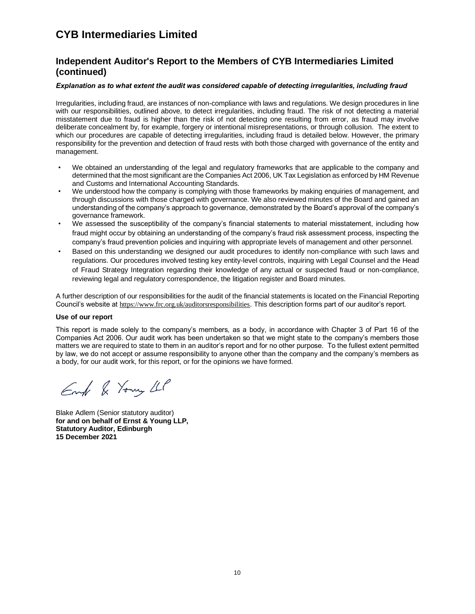### **Independent Auditor's Report to the Members of CYB Intermediaries Limited (continued)**

#### *Explanation as to what extent the audit was considered capable of detecting irregularities, including fraud*

Irregularities, including fraud, are instances of non-compliance with laws and regulations. We design procedures in line with our responsibilities, outlined above, to detect irregularities, including fraud. The risk of not detecting a material misstatement due to fraud is higher than the risk of not detecting one resulting from error, as fraud may involve deliberate concealment by, for example, forgery or intentional misrepresentations, or through collusion. The extent to which our procedures are capable of detecting irregularities, including fraud is detailed below. However, the primary responsibility for the prevention and detection of fraud rests with both those charged with governance of the entity and management.

- We obtained an understanding of the legal and regulatory frameworks that are applicable to the company and determined that the most significant are the Companies Act 2006, UK Tax Legislation as enforced by HM Revenue and Customs and International Accounting Standards.
- We understood how the company is complying with those frameworks by making enquiries of management, and through discussions with those charged with governance. We also reviewed minutes of the Board and gained an understanding of the company's approach to governance, demonstrated by the Board's approval of the company's governance framework.
- We assessed the susceptibility of the company's financial statements to material misstatement, including how fraud might occur by obtaining an understanding of the company's fraud risk assessment process, inspecting the company's fraud prevention policies and inquiring with appropriate levels of management and other personnel.
- Based on this understanding we designed our audit procedures to identify non-compliance with such laws and regulations. Our procedures involved testing key entity-level controls, inquiring with Legal Counsel and the Head of Fraud Strategy Integration regarding their knowledge of any actual or suspected fraud or non-compliance, reviewing legal and regulatory correspondence, the litigation register and Board minutes.

A further description of our responsibilities for the audit of the financial statements is located on the Financial Reporting Council's website at <https://www.frc.org.uk/auditorsresponsibilities>. This description forms part of our auditor's report.

#### **Use of our report**

This report is made solely to the company's members, as a body, in accordance with Chapter 3 of Part 16 of the Companies Act 2006. Our audit work has been undertaken so that we might state to the company's members those matters we are required to state to them in an auditor's report and for no other purpose. To the fullest extent permitted by law, we do not accept or assume responsibility to anyone other than the company and the company's members as a body, for our audit work, for this report, or for the opinions we have formed.

Eart & Young LLP

Blake Adlem (Senior statutory auditor) **for and on behalf of Ernst & Young LLP, Statutory Auditor, Edinburgh 15 December 2021**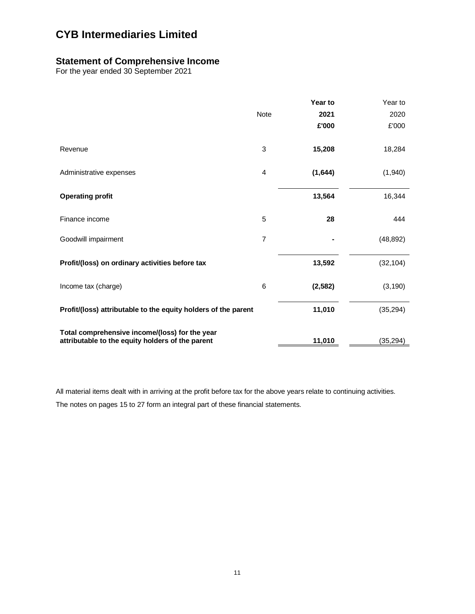### **Statement of Comprehensive Income**

For the year ended 30 September 2021

|                                                                                                    | <b>Note</b>    | Year to<br>2021<br>£'000 | Year to<br>2020<br>£'000 |
|----------------------------------------------------------------------------------------------------|----------------|--------------------------|--------------------------|
| Revenue                                                                                            | 3              | 15,208                   | 18,284                   |
| Administrative expenses                                                                            | 4              | (1, 644)                 | (1,940)                  |
| <b>Operating profit</b>                                                                            |                | 13,564                   | 16,344                   |
| Finance income                                                                                     | 5              | 28                       | 444                      |
| Goodwill impairment                                                                                | $\overline{7}$ |                          | (48, 892)                |
| Profit/(loss) on ordinary activities before tax                                                    |                | 13,592                   | (32, 104)                |
| Income tax (charge)                                                                                | 6              | (2, 582)                 | (3, 190)                 |
| Profit/(loss) attributable to the equity holders of the parent                                     |                | 11,010                   | (35, 294)                |
| Total comprehensive income/(loss) for the year<br>attributable to the equity holders of the parent |                | 11,010                   | (35, 294)                |

All material items dealt with in arriving at the profit before tax for the above years relate to continuing activities.

The notes on pages 15 to 27 form an integral part of these financial statements.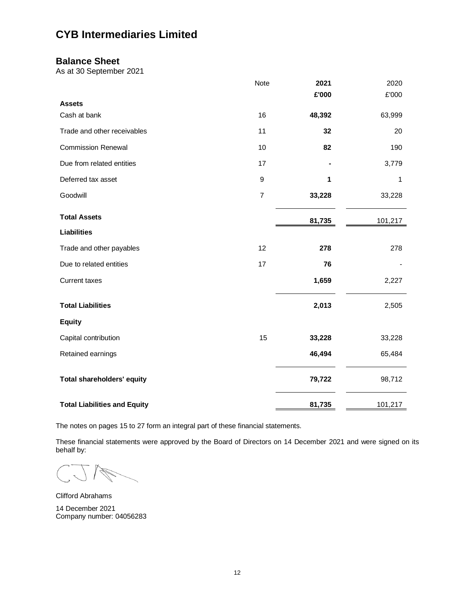### **Balance Sheet**

As at 30 September 2021

|                                     | Note           | 2021   | 2020    |
|-------------------------------------|----------------|--------|---------|
|                                     |                | £'000  | £'000   |
| <b>Assets</b><br>Cash at bank       | 16             | 48,392 |         |
|                                     |                |        | 63,999  |
| Trade and other receivables         | 11             | 32     | 20      |
| <b>Commission Renewal</b>           | 10             | 82     | 190     |
| Due from related entities           | 17             |        | 3,779   |
| Deferred tax asset                  | 9              | 1      | 1       |
| Goodwill                            | $\overline{7}$ | 33,228 | 33,228  |
| <b>Total Assets</b>                 |                | 81,735 | 101,217 |
| <b>Liabilities</b>                  |                |        |         |
| Trade and other payables            | 12             | 278    | 278     |
| Due to related entities             | 17             | 76     |         |
| <b>Current taxes</b>                |                | 1,659  | 2,227   |
| <b>Total Liabilities</b>            |                | 2,013  | 2,505   |
| <b>Equity</b>                       |                |        |         |
| Capital contribution                | 15             | 33,228 | 33,228  |
| Retained earnings                   |                | 46,494 | 65,484  |
| <b>Total shareholders' equity</b>   |                | 79,722 | 98,712  |
| <b>Total Liabilities and Equity</b> |                | 81,735 | 101,217 |

The notes on pages 15 to 27 form an integral part of these financial statements.

These financial statements were approved by the Board of Directors on 14 December 2021 and were signed on its behalf by:

Clifford Abrahams 14 December 2021 Company number: 04056283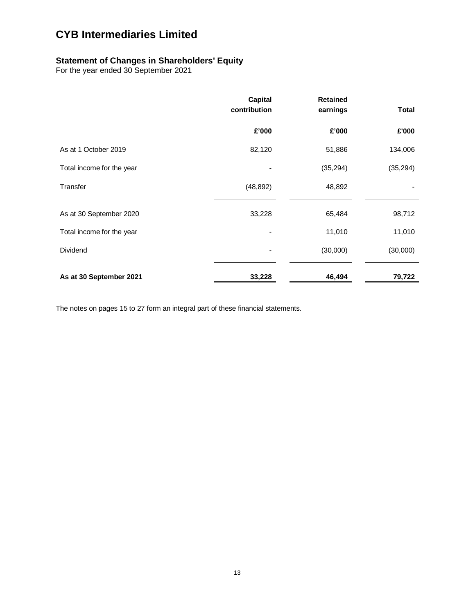### **Statement of Changes in Shareholders' Equity**

For the year ended 30 September 2021

|                           | <b>Capital</b><br>contribution | <b>Retained</b><br>earnings | <b>Total</b> |
|---------------------------|--------------------------------|-----------------------------|--------------|
|                           | £'000                          | £'000                       | £'000        |
| As at 1 October 2019      | 82,120                         | 51,886                      | 134,006      |
| Total income for the year |                                | (35, 294)                   | (35, 294)    |
| Transfer                  | (48, 892)                      | 48,892                      |              |
| As at 30 September 2020   | 33,228                         | 65,484                      | 98,712       |
| Total income for the year |                                | 11,010                      | 11,010       |
| Dividend                  |                                | (30,000)                    | (30,000)     |
| As at 30 September 2021   | 33,228                         | 46,494                      | 79,722       |

The notes on pages 15 to 27 form an integral part of these financial statements.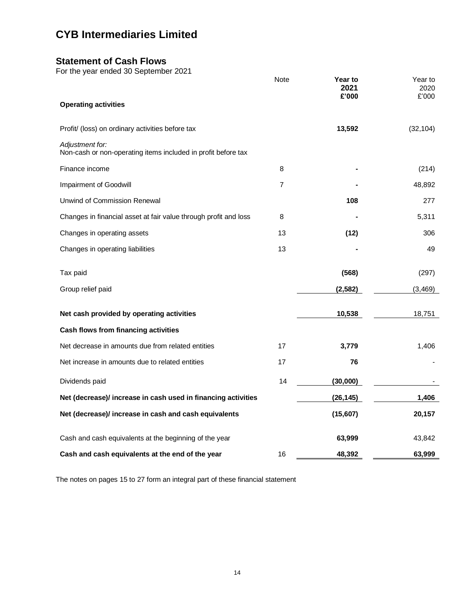### **Statement of Cash Flows**

For the year ended 30 September 2021

|                                                                                  | Note           | Year to<br>2021<br>£'000 | Year to<br>2020<br>£'000 |
|----------------------------------------------------------------------------------|----------------|--------------------------|--------------------------|
| <b>Operating activities</b>                                                      |                |                          |                          |
| Profit/ (loss) on ordinary activities before tax                                 |                | 13,592                   | (32, 104)                |
| Adjustment for:<br>Non-cash or non-operating items included in profit before tax |                |                          |                          |
| Finance income                                                                   | 8              |                          | (214)                    |
| Impairment of Goodwill                                                           | $\overline{7}$ |                          | 48,892                   |
| Unwind of Commission Renewal                                                     |                | 108                      | 277                      |
| Changes in financial asset at fair value through profit and loss                 | 8              |                          | 5,311                    |
| Changes in operating assets                                                      | 13             | (12)                     | 306                      |
| Changes in operating liabilities                                                 | 13             |                          | 49                       |
| Tax paid                                                                         |                | (568)                    | (297)                    |
| Group relief paid                                                                |                | (2, 582)                 | (3,469)                  |
| Net cash provided by operating activities                                        |                | 10,538                   | 18,751                   |
| Cash flows from financing activities                                             |                |                          |                          |
| Net decrease in amounts due from related entities                                | 17             | 3,779                    | 1,406                    |
| Net increase in amounts due to related entities                                  | 17             | 76                       |                          |
| Dividends paid                                                                   | 14             | (30,000)                 |                          |
| Net (decrease)/ increase in cash used in financing activities                    |                | (26, 145)                | 1,406                    |
| Net (decrease)/ increase in cash and cash equivalents                            |                | (15, 607)                | 20,157                   |
| Cash and cash equivalents at the beginning of the year                           |                | 63,999                   | 43,842                   |
| Cash and cash equivalents at the end of the year                                 | 16             | 48,392                   | 63,999                   |

The notes on pages 15 to 27 form an integral part of these financial statement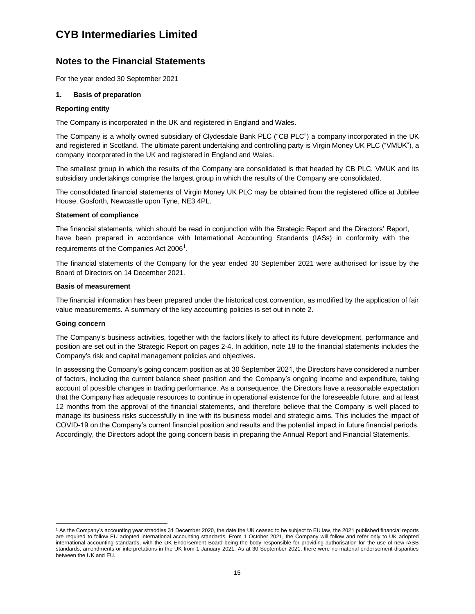### **Notes to the Financial Statements**

For the year ended 30 September 2021

#### **1. Basis of preparation**

#### **Reporting entity**

The Company is incorporated in the UK and registered in England and Wales.

The Company is a wholly owned subsidiary of Clydesdale Bank PLC ("CB PLC") a company incorporated in the UK and registered in Scotland. The ultimate parent undertaking and controlling party is Virgin Money UK PLC ("VMUK"), a company incorporated in the UK and registered in England and Wales.

The smallest group in which the results of the Company are consolidated is that headed by CB PLC. VMUK and its subsidiary undertakings comprise the largest group in which the results of the Company are consolidated.

The consolidated financial statements of Virgin Money UK PLC may be obtained from the registered office at Jubilee House, Gosforth, Newcastle upon Tyne, NE3 4PL.

#### **Statement of compliance**

The financial statements, which should be read in conjunction with the Strategic Report and the Directors' Report, have been prepared in accordance with International Accounting Standards (IASs) in conformity with the requirements of the Companies Act 2006<sup>1</sup>.

The financial statements of the Company for the year ended 30 September 2021 were authorised for issue by the Board of Directors on 14 December 2021.

#### **Basis of measurement**

The financial information has been prepared under the historical cost convention, as modified by the application of fair value measurements. A summary of the key accounting policies is set out in note 2.

#### **Going concern**

The Company's business activities, together with the factors likely to affect its future development, performance and position are set out in the Strategic Report on pages 2-4. In addition, note 18 to the financial statements includes the Company's risk and capital management policies and objectives.

In assessing the Company's going concern position as at 30 September 2021, the Directors have considered a number of factors, including the current balance sheet position and the Company's ongoing income and expenditure, taking account of possible changes in trading performance. As a consequence, the Directors have a reasonable expectation that the Company has adequate resources to continue in operational existence for the foreseeable future, and at least 12 months from the approval of the financial statements, and therefore believe that the Company is well placed to manage its business risks successfully in line with its business model and strategic aims. This includes the impact of COVID-19 on the Company's current financial position and results and the potential impact in future financial periods. Accordingly, the Directors adopt the going concern basis in preparing the Annual Report and Financial Statements.

<sup>1</sup> As the Company's accounting year straddles 31 December 2020, the date the UK ceased to be subject to EU law, the 2021 published financial reports are required to follow EU adopted international accounting standards. From 1 October 2021, the Company will follow and refer only to UK adopted international accounting standards, with the UK Endorsement Board being the body responsible for providing authorisation for the use of new IASB standards, amendments or interpretations in the UK from 1 January 2021. As at 30 September 2021, there were no material endorsement disparities between the UK and EU.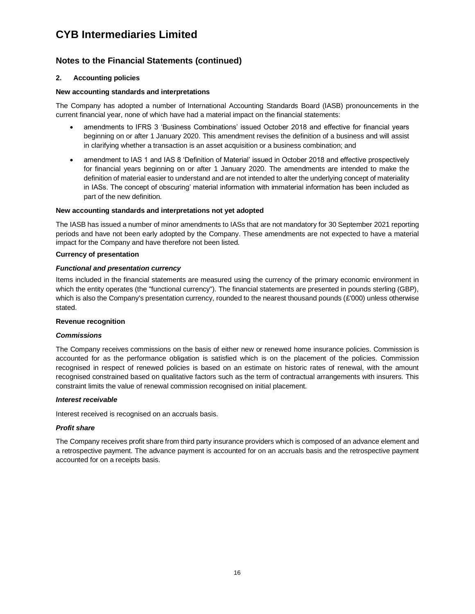### **Notes to the Financial Statements (continued)**

#### **2. Accounting policies**

#### **New accounting standards and interpretations**

The Company has adopted a number of International Accounting Standards Board (IASB) pronouncements in the current financial year, none of which have had a material impact on the financial statements:

- amendments to IFRS 3 'Business Combinations' issued October 2018 and effective for financial years beginning on or after 1 January 2020. This amendment revises the definition of a business and will assist in clarifying whether a transaction is an asset acquisition or a business combination; and
- amendment to IAS 1 and IAS 8 'Definition of Material' issued in October 2018 and effective prospectively for financial years beginning on or after 1 January 2020. The amendments are intended to make the definition of material easier to understand and are not intended to alter the underlying concept of materiality in IASs. The concept of obscuring' material information with immaterial information has been included as part of the new definition.

#### **New accounting standards and interpretations not yet adopted**

The IASB has issued a number of minor amendments to IASs that are not mandatory for 30 September 2021 reporting periods and have not been early adopted by the Company. These amendments are not expected to have a material impact for the Company and have therefore not been listed.

#### **Currency of presentation**

#### *Functional and presentation currency*

Items included in the financial statements are measured using the currency of the primary economic environment in which the entity operates (the "functional currency"). The financial statements are presented in pounds sterling (GBP), which is also the Company's presentation currency, rounded to the nearest thousand pounds (£'000) unless otherwise stated.

#### **Revenue recognition**

#### *Commissions*

The Company receives commissions on the basis of either new or renewed home insurance policies. Commission is accounted for as the performance obligation is satisfied which is on the placement of the policies. Commission recognised in respect of renewed policies is based on an estimate on historic rates of renewal, with the amount recognised constrained based on qualitative factors such as the term of contractual arrangements with insurers. This constraint limits the value of renewal commission recognised on initial placement.

#### *Interest receivable*

Interest received is recognised on an accruals basis.

#### *Profit share*

The Company receives profit share from third party insurance providers which is composed of an advance element and a retrospective payment. The advance payment is accounted for on an accruals basis and the retrospective payment accounted for on a receipts basis.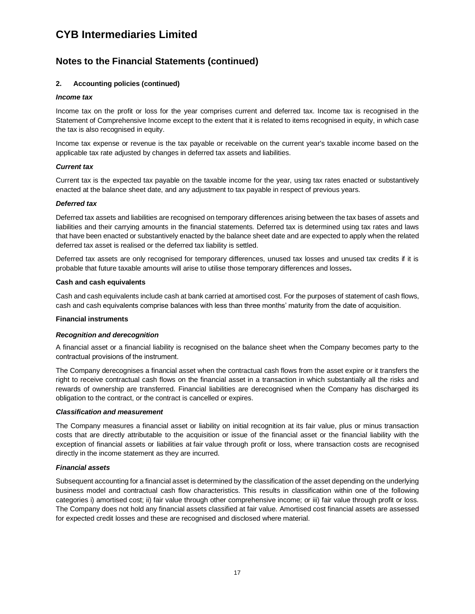### **Notes to the Financial Statements (continued)**

#### **2. Accounting policies (continued)**

#### *Income tax*

Income tax on the profit or loss for the year comprises current and deferred tax. Income tax is recognised in the Statement of Comprehensive Income except to the extent that it is related to items recognised in equity, in which case the tax is also recognised in equity.

Income tax expense or revenue is the tax payable or receivable on the current year's taxable income based on the applicable tax rate adjusted by changes in deferred tax assets and liabilities.

#### *Current tax*

Current tax is the expected tax payable on the taxable income for the year, using tax rates enacted or substantively enacted at the balance sheet date, and any adjustment to tax payable in respect of previous years.

#### *Deferred tax*

Deferred tax assets and liabilities are recognised on temporary differences arising between the tax bases of assets and liabilities and their carrying amounts in the financial statements. Deferred tax is determined using tax rates and laws that have been enacted or substantively enacted by the balance sheet date and are expected to apply when the related deferred tax asset is realised or the deferred tax liability is settled.

Deferred tax assets are only recognised for temporary differences, unused tax losses and unused tax credits if it is probable that future taxable amounts will arise to utilise those temporary differences and losses**.**

#### **Cash and cash equivalents**

Cash and cash equivalents include cash at bank carried at amortised cost. For the purposes of statement of cash flows, cash and cash equivalents comprise balances with less than three months' maturity from the date of acquisition.

#### **Financial instruments**

#### *Recognition and derecognition*

A financial asset or a financial liability is recognised on the balance sheet when the Company becomes party to the contractual provisions of the instrument.

The Company derecognises a financial asset when the contractual cash flows from the asset expire or it transfers the right to receive contractual cash flows on the financial asset in a transaction in which substantially all the risks and rewards of ownership are transferred. Financial liabilities are derecognised when the Company has discharged its obligation to the contract, or the contract is cancelled or expires.

#### *Classification and measurement*

The Company measures a financial asset or liability on initial recognition at its fair value, plus or minus transaction costs that are directly attributable to the acquisition or issue of the financial asset or the financial liability with the exception of financial assets or liabilities at fair value through profit or loss, where transaction costs are recognised directly in the income statement as they are incurred.

#### *Financial assets*

Subsequent accounting for a financial asset is determined by the classification of the asset depending on the underlying business model and contractual cash flow characteristics. This results in classification within one of the following categories i) amortised cost; ii) fair value through other comprehensive income; or iii) fair value through profit or loss. The Company does not hold any financial assets classified at fair value. Amortised cost financial assets are assessed for expected credit losses and these are recognised and disclosed where material.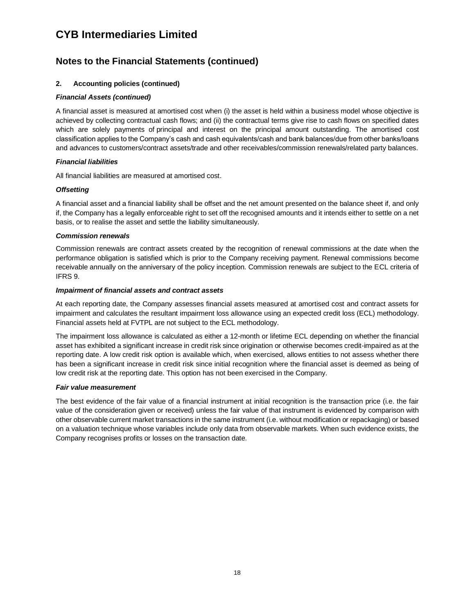### **Notes to the Financial Statements (continued)**

#### **2. Accounting policies (continued)**

#### *Financial Assets (continued)*

A financial asset is measured at amortised cost when (i) the asset is held within a business model whose objective is achieved by collecting contractual cash flows; and (ii) the contractual terms give rise to cash flows on specified dates which are solely payments of principal and interest on the principal amount outstanding. The amortised cost classification applies to the Company's cash and cash equivalents/cash and bank balances/due from other banks/loans and advances to customers/contract assets/trade and other receivables/commission renewals/related party balances.

#### *Financial liabilities*

All financial liabilities are measured at amortised cost.

#### *Offsetting*

A financial asset and a financial liability shall be offset and the net amount presented on the balance sheet if, and only if, the Company has a legally enforceable right to set off the recognised amounts and it intends either to settle on a net basis, or to realise the asset and settle the liability simultaneously.

#### *Commission renewals*

Commission renewals are contract assets created by the recognition of renewal commissions at the date when the performance obligation is satisfied which is prior to the Company receiving payment. Renewal commissions become receivable annually on the anniversary of the policy inception. Commission renewals are subject to the ECL criteria of IFRS 9.

#### *Impairment of financial assets and contract assets*

At each reporting date, the Company assesses financial assets measured at amortised cost and contract assets for impairment and calculates the resultant impairment loss allowance using an expected credit loss (ECL) methodology. Financial assets held at FVTPL are not subject to the ECL methodology.

The impairment loss allowance is calculated as either a 12-month or lifetime ECL depending on whether the financial asset has exhibited a significant increase in credit risk since origination or otherwise becomes credit-impaired as at the reporting date. A low credit risk option is available which, when exercised, allows entities to not assess whether there has been a significant increase in credit risk since initial recognition where the financial asset is deemed as being of low credit risk at the reporting date. This option has not been exercised in the Company.

#### *Fair value measurement*

The best evidence of the fair value of a financial instrument at initial recognition is the transaction price (i.e. the fair value of the consideration given or received) unless the fair value of that instrument is evidenced by comparison with other observable current market transactions in the same instrument (i.e. without modification or repackaging) or based on a valuation technique whose variables include only data from observable markets. When such evidence exists, the Company recognises profits or losses on the transaction date.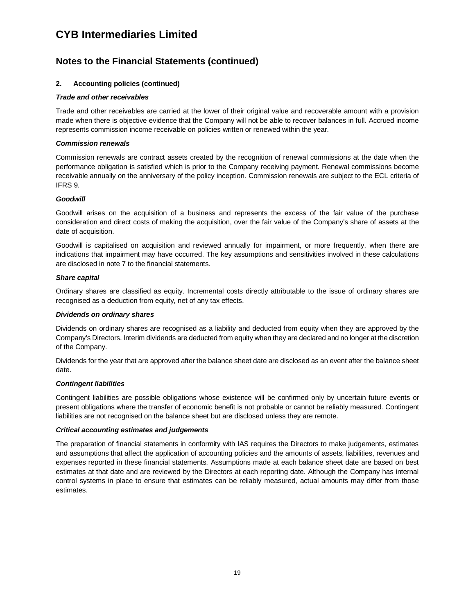### **Notes to the Financial Statements (continued)**

#### **2. Accounting policies (continued)**

#### *Trade and other receivables*

Trade and other receivables are carried at the lower of their original value and recoverable amount with a provision made when there is objective evidence that the Company will not be able to recover balances in full. Accrued income represents commission income receivable on policies written or renewed within the year.

#### *Commission renewals*

Commission renewals are contract assets created by the recognition of renewal commissions at the date when the performance obligation is satisfied which is prior to the Company receiving payment. Renewal commissions become receivable annually on the anniversary of the policy inception. Commission renewals are subject to the ECL criteria of IFRS 9.

#### *Goodwill*

Goodwill arises on the acquisition of a business and represents the excess of the fair value of the purchase consideration and direct costs of making the acquisition, over the fair value of the Company's share of assets at the date of acquisition.

Goodwill is capitalised on acquisition and reviewed annually for impairment, or more frequently, when there are indications that impairment may have occurred. The key assumptions and sensitivities involved in these calculations are disclosed in note 7 to the financial statements.

#### *Share capital*

Ordinary shares are classified as equity. Incremental costs directly attributable to the issue of ordinary shares are recognised as a deduction from equity, net of any tax effects.

#### *Dividends on ordinary shares*

Dividends on ordinary shares are recognised as a liability and deducted from equity when they are approved by the Company's Directors. Interim dividends are deducted from equity when they are declared and no longer at the discretion of the Company.

Dividends for the year that are approved after the balance sheet date are disclosed as an event after the balance sheet date.

#### *Contingent liabilities*

Contingent liabilities are possible obligations whose existence will be confirmed only by uncertain future events or present obligations where the transfer of economic benefit is not probable or cannot be reliably measured. Contingent liabilities are not recognised on the balance sheet but are disclosed unless they are remote.

#### *Critical accounting estimates and judgements*

The preparation of financial statements in conformity with IAS requires the Directors to make judgements, estimates and assumptions that affect the application of accounting policies and the amounts of assets, liabilities, revenues and expenses reported in these financial statements. Assumptions made at each balance sheet date are based on best estimates at that date and are reviewed by the Directors at each reporting date. Although the Company has internal control systems in place to ensure that estimates can be reliably measured, actual amounts may differ from those estimates.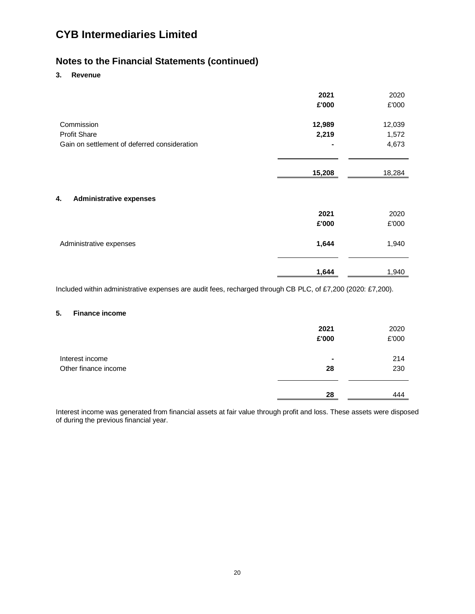### **Notes to the Financial Statements (continued)**

**3. Revenue**

|                                              | 2021<br>£'000 | 2020<br>£'000 |
|----------------------------------------------|---------------|---------------|
| Commission                                   | 12,989        | 12,039        |
| <b>Profit Share</b>                          | 2,219         | 1,572         |
| Gain on settlement of deferred consideration | ۰             | 4,673         |
|                                              | 15,208        | 18,284        |
| 4.<br><b>Administrative expenses</b>         |               |               |
|                                              | 2021          | 2020          |
|                                              | £'000         | £'000         |
| Administrative expenses                      | 1,644         | 1,940         |
|                                              | 1,644         | 1,940         |

Included within administrative expenses are audit fees, recharged through CB PLC, of £7,200 (2020: £7,200).

#### **5. Finance income**

|                                         | 2021<br>£'000 | 2020<br>£'000 |
|-----------------------------------------|---------------|---------------|
| Interest income<br>Other finance income | ۰             | 214           |
|                                         | 28            | 230           |
|                                         | 28            | 444           |

Interest income was generated from financial assets at fair value through profit and loss. These assets were disposed of during the previous financial year.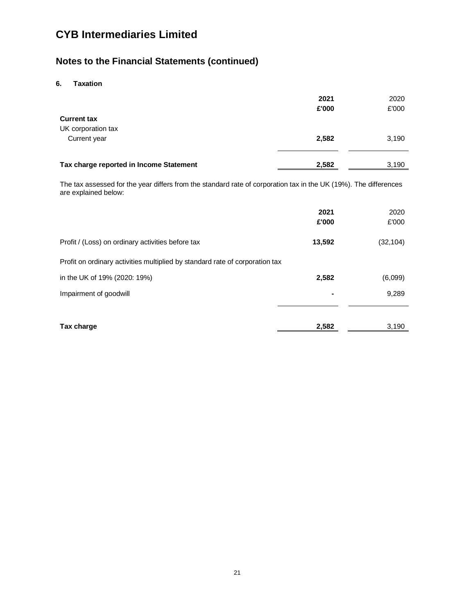# **Notes to the Financial Statements (continued)**

#### **6. Taxation**

|                                         | 2021<br>£'000 | 2020<br>£'000 |
|-----------------------------------------|---------------|---------------|
| <b>Current tax</b>                      |               |               |
| UK corporation tax                      |               |               |
| Current year                            | 2,582         | 3,190         |
|                                         |               |               |
| Tax charge reported in Income Statement | 2,582         | 3,190         |

The tax assessed for the year differs from the standard rate of corporation tax in the UK (19%). The differences are explained below:

|                                                                              | 2021<br>£'000 | 2020<br>£'000 |
|------------------------------------------------------------------------------|---------------|---------------|
| Profit / (Loss) on ordinary activities before tax                            | 13,592        | (32, 104)     |
| Profit on ordinary activities multiplied by standard rate of corporation tax |               |               |
| in the UK of 19% (2020: 19%)                                                 | 2,582         | (6,099)       |
| Impairment of goodwill                                                       | ٠             | 9,289         |
|                                                                              |               |               |
| Tax charge                                                                   | 2,582         | 3.190         |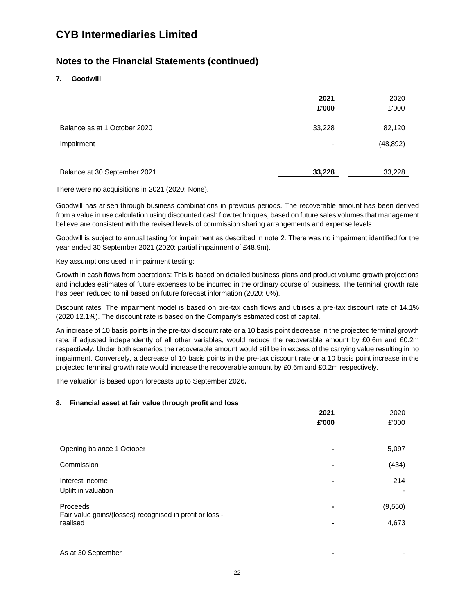### **Notes to the Financial Statements (continued)**

#### **7. Goodwill**

|                              | 2021<br>£'000 | 2020<br>£'000 |
|------------------------------|---------------|---------------|
| Balance as at 1 October 2020 | 33,228        | 82,120        |
| Impairment                   | ٠             | (48, 892)     |
| Balance at 30 September 2021 | 33,228        | 33,228        |

There were no acquisitions in 2021 (2020: None).

Goodwill has arisen through business combinations in previous periods. The recoverable amount has been derived from a value in use calculation using discounted cash flow techniques, based on future sales volumes that management believe are consistent with the revised levels of commission sharing arrangements and expense levels.

Goodwill is subject to annual testing for impairment as described in note 2. There was no impairment identified for the year ended 30 September 2021 (2020: partial impairment of £48.9m).

Key assumptions used in impairment testing:

Growth in cash flows from operations: This is based on detailed business plans and product volume growth projections and includes estimates of future expenses to be incurred in the ordinary course of business. The terminal growth rate has been reduced to nil based on future forecast information (2020: 0%).

Discount rates: The impairment model is based on pre-tax cash flows and utilises a pre-tax discount rate of 14.1% (2020 12.1%). The discount rate is based on the Company's estimated cost of capital.

An increase of 10 basis points in the pre-tax discount rate or a 10 basis point decrease in the projected terminal growth rate, if adjusted independently of all other variables, would reduce the recoverable amount by £0.6m and £0.2m respectively. Under both scenarios the recoverable amount would still be in excess of the carrying value resulting in no impairment. Conversely, a decrease of 10 basis points in the pre-tax discount rate or a 10 basis point increase in the projected terminal growth rate would increase the recoverable amount by £0.6m and £0.2m respectively.

The valuation is based upon forecasts up to September 2026**.**

#### **8. Financial asset at fair value through profit and loss**

|                                                                      | 2021<br>£'000  | 2020<br>£'000 |
|----------------------------------------------------------------------|----------------|---------------|
| Opening balance 1 October                                            | ۰              | 5,097         |
| Commission                                                           | ٠              | (434)         |
| Interest income<br>Uplift in valuation                               | $\blacksquare$ | 214           |
| Proceeds<br>Fair value gains/(losses) recognised in profit or loss - | $\blacksquare$ | (9,550)       |
| realised                                                             | $\blacksquare$ | 4,673         |
| As at 30 September                                                   |                |               |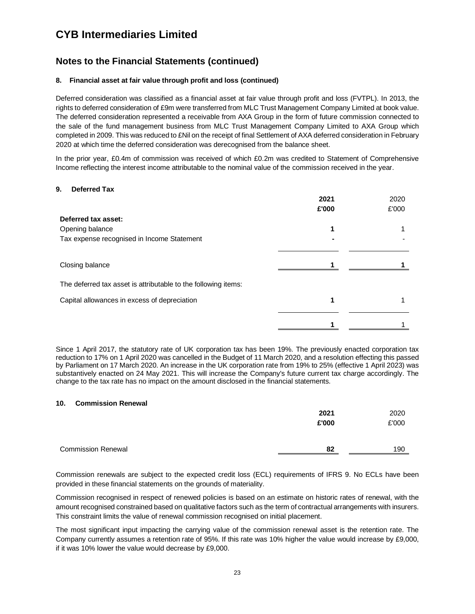### **Notes to the Financial Statements (continued)**

#### **8. Financial asset at fair value through profit and loss (continued)**

Deferred consideration was classified as a financial asset at fair value through profit and loss (FVTPL). In 2013, the rights to deferred consideration of £9m were transferred from MLC Trust Management Company Limited at book value. The deferred consideration represented a receivable from AXA Group in the form of future commission connected to the sale of the fund management business from MLC Trust Management Company Limited to AXA Group which completed in 2009. This was reduced to £Nil on the receipt of final Settlement of AXA deferred consideration in February 2020 at which time the deferred consideration was derecognised from the balance sheet.

In the prior year, £0.4m of commission was received of which £0.2m was credited to Statement of Comprehensive Income reflecting the interest income attributable to the nominal value of the commission received in the year.

#### **9. Deferred Tax**

|                                                                | 2021  | 2020  |
|----------------------------------------------------------------|-------|-------|
|                                                                | £'000 | £'000 |
| Deferred tax asset:                                            |       |       |
| Opening balance                                                |       |       |
| Tax expense recognised in Income Statement                     |       |       |
| Closing balance                                                |       |       |
| The deferred tax asset is attributable to the following items: |       |       |
| Capital allowances in excess of depreciation                   |       |       |
|                                                                |       |       |

Since 1 April 2017, the statutory rate of UK corporation tax has been 19%. The previously enacted corporation tax reduction to 17% on 1 April 2020 was cancelled in the Budget of 11 March 2020, and a resolution effecting this passed by Parliament on 17 March 2020. An increase in the UK corporation rate from 19% to 25% (effective 1 April 2023) was substantively enacted on 24 May 2021. This will increase the Company's future current tax charge accordingly. The change to the tax rate has no impact on the amount disclosed in the financial statements.

#### **10. Commission Renewal**

| 2021  | 2020  |
|-------|-------|
| £'000 | £'000 |
|       |       |
|       |       |
| 82    | 190   |
|       |       |

Commission renewals are subject to the expected credit loss (ECL) requirements of IFRS 9. No ECLs have been provided in these financial statements on the grounds of materiality.

Commission recognised in respect of renewed policies is based on an estimate on historic rates of renewal, with the amount recognised constrained based on qualitative factors such as the term of contractual arrangements with insurers. This constraint limits the value of renewal commission recognised on initial placement.

The most significant input impacting the carrying value of the commission renewal asset is the retention rate. The Company currently assumes a retention rate of 95%. If this rate was 10% higher the value would increase by £9,000, if it was 10% lower the value would decrease by £9,000.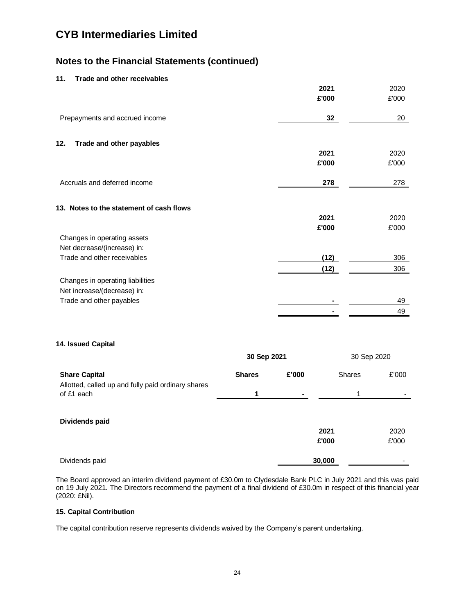### **Notes to the Financial Statements (continued)**

**11. Trade and other receivables 2021** 2020 **£'000** £'000 Prepayments and accrued income **32** 20 **12. Trade and other payables 2021** 2020 **£'000** £'000 Accruals and deferred income **278** 278 **13. Notes to the statement of cash flows 2021** 2020 **£'000** £'000 Changes in operating assets Net decrease/(increase) in: Trade and other receivables **(12)** 306 **(12)** 306 Changes in operating liabilities Net increase/(decrease) in: Trade and other payables **-** 49 **-** 49 **14. Issued Capital**

|                                                                            | 30 Sep 2021   |       | 30 Sep 2020   |               |
|----------------------------------------------------------------------------|---------------|-------|---------------|---------------|
| <b>Share Capital</b><br>Allotted, called up and fully paid ordinary shares | <b>Shares</b> | £'000 | <b>Shares</b> | £'000         |
| of £1 each                                                                 | 1             | ۰     |               |               |
| Dividends paid                                                             |               |       | 2021<br>£'000 | 2020<br>£'000 |
| Dividends paid                                                             |               |       | 30,000        |               |

The Board approved an interim dividend payment of £30.0m to Clydesdale Bank PLC in July 2021 and this was paid on 19 July 2021. The Directors recommend the payment of a final dividend of £30.0m in respect of this financial year (2020: £Nil).

#### **15. Capital Contribution**

The capital contribution reserve represents dividends waived by the Company's parent undertaking.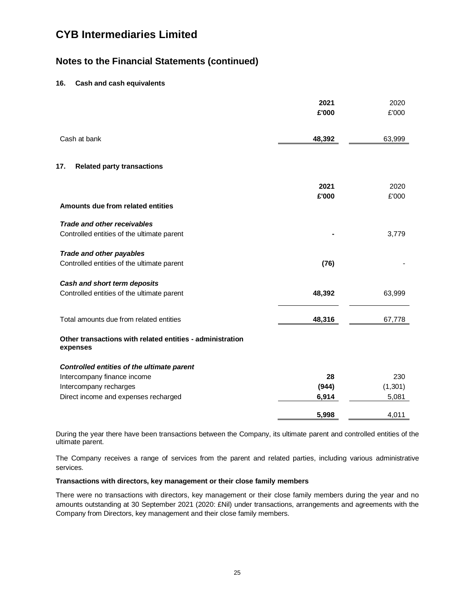### **Notes to the Financial Statements (continued)**

#### **16. Cash and cash equivalents**

|                                                                                  | 2021<br>£'000 | 2020<br>£'000 |
|----------------------------------------------------------------------------------|---------------|---------------|
| Cash at bank                                                                     | 48,392        | 63,999        |
| 17.<br><b>Related party transactions</b>                                         |               |               |
| Amounts due from related entities                                                | 2021<br>£'000 | 2020<br>£'000 |
| <b>Trade and other receivables</b><br>Controlled entities of the ultimate parent |               | 3,779         |
| Trade and other payables<br>Controlled entities of the ultimate parent           | (76)          |               |
| Cash and short term deposits<br>Controlled entities of the ultimate parent       | 48,392        | 63,999        |
| Total amounts due from related entities                                          | 48,316        | 67,778        |
| Other transactions with related entities - administration<br>expenses            |               |               |
| Controlled entities of the ultimate parent                                       |               |               |
| Intercompany finance income                                                      | 28            | 230           |
| Intercompany recharges                                                           | (944)         | (1, 301)      |
| Direct income and expenses recharged                                             | 6,914         | 5,081         |
|                                                                                  | 5,998         | 4,011         |

During the year there have been transactions between the Company, its ultimate parent and controlled entities of the ultimate parent.

The Company receives a range of services from the parent and related parties, including various administrative services.

#### **Transactions with directors, key management or their close family members**

There were no transactions with directors, key management or their close family members during the year and no amounts outstanding at 30 September 2021 (2020: £Nil) under transactions, arrangements and agreements with the Company from Directors, key management and their close family members.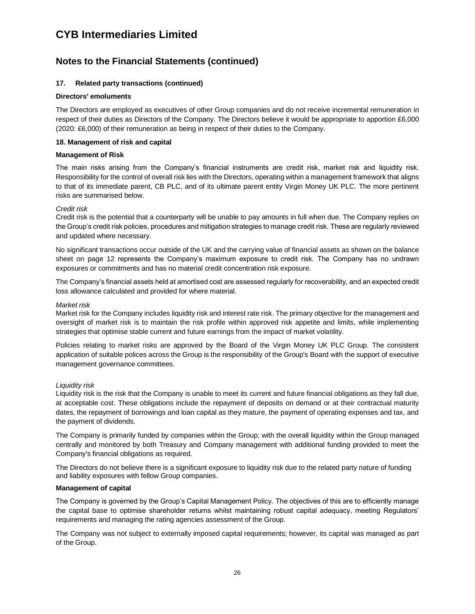### **Notes to the Financial Statements (continued)**

#### **17. Related party transactions (continued)**

#### **Directors' emoluments**

The Directors are employed as executives of other Group companies and do not receive incremental remuneration in respect of their duties as Directors of the Company. The Directors believe it would be appropriate to apportion £6,000 (2020: £6,000) of their remuneration as being in respect of their duties to the Company.

#### **18. Management of risk and capital**

#### **Management of Risk**

The main risks arising from the Company's financial instruments are credit risk, market risk and liquidity risk. Responsibility for the control of overall risk lies with the Directors, operating within a management framework that aligns to that of its immediate parent, CB PLC, and of its ultimate parent entity Virgin Money UK PLC. The more pertinent risks are summarised below.

#### *Credit risk*

Credit risk is the potential that a counterparty will be unable to pay amounts in full when due. The Company replies on the Group's credit risk policies, procedures and mitigation strategies to manage credit risk. These are regularly reviewed and updated where necessary.

No significant transactions occur outside of the UK and the carrying value of financial assets as shown on the balance sheet on page 12 represents the Company's maximum exposure to credit risk. The Company has no undrawn exposures or commitments and has no material credit concentration risk exposure.

The Company's financial assets held at amortised cost are assessed regularly for recoverability, and an expected credit loss allowance calculated and provided for where material.

#### *Market risk*

Market risk for the Company includes liquidity risk and interest rate risk. The primary objective for the management and oversight of market risk is to maintain the risk profile within approved risk appetite and limits, while implementing strategies that optimise stable current and future earnings from the impact of market volatility.

Policies relating to market risks are approved by the Board of the Virgin Money UK PLC Group. The consistent application of suitable polices across the Group is the responsibility of the Group's Board with the support of executive management governance committees.

#### *Liquidity risk*

Liquidity risk is the risk that the Company is unable to meet its current and future financial obligations as they fall due, at acceptable cost. These obligations include the repayment of deposits on demand or at their contractual maturity dates, the repayment of borrowings and loan capital as they mature, the payment of operating expenses and tax, and the payment of dividends.

The Company is primarily funded by companies within the Group; with the overall liquidity within the Group managed centrally and monitored by both Treasury and Company management with additional funding provided to meet the Company's financial obligations as required.

The Directors do not believe there is a significant exposure to liquidity risk due to the related party nature of funding and liability exposures with fellow Group companies.

#### **Management of capital**

The Company is governed by the Group's Capital Management Policy. The objectives of this are to efficiently manage the capital base to optimise shareholder returns whilst maintaining robust capital adequacy, meeting Regulators' requirements and managing the rating agencies assessment of the Group.

The Company was not subject to externally imposed capital requirements; however, its capital was managed as part of the Group.